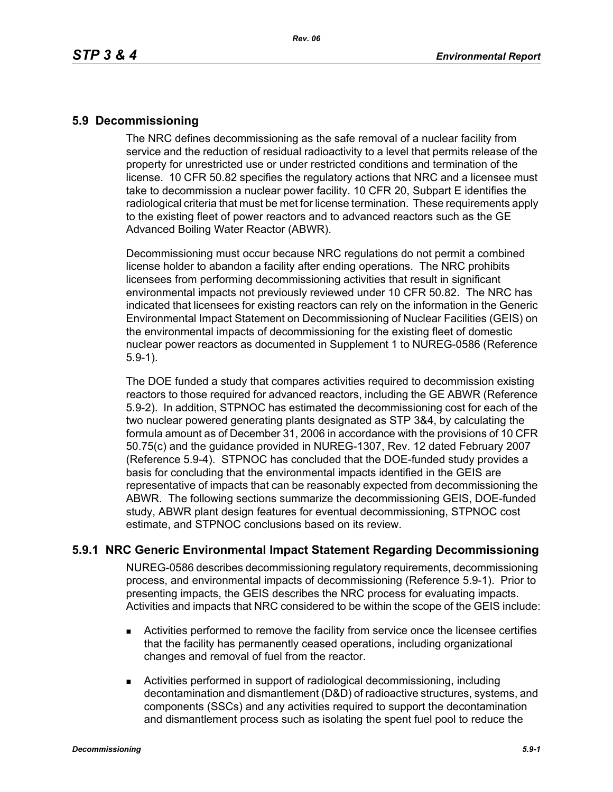## **5.9 Decommissioning**

The NRC defines decommissioning as the safe removal of a nuclear facility from service and the reduction of residual radioactivity to a level that permits release of the property for unrestricted use or under restricted conditions and termination of the license. 10 CFR 50.82 specifies the regulatory actions that NRC and a licensee must take to decommission a nuclear power facility. 10 CFR 20, Subpart E identifies the radiological criteria that must be met for license termination. These requirements apply to the existing fleet of power reactors and to advanced reactors such as the GE Advanced Boiling Water Reactor (ABWR).

Decommissioning must occur because NRC regulations do not permit a combined license holder to abandon a facility after ending operations. The NRC prohibits licensees from performing decommissioning activities that result in significant environmental impacts not previously reviewed under 10 CFR 50.82. The NRC has indicated that licensees for existing reactors can rely on the information in the Generic Environmental Impact Statement on Decommissioning of Nuclear Facilities (GEIS) on the environmental impacts of decommissioning for the existing fleet of domestic nuclear power reactors as documented in Supplement 1 to NUREG-0586 (Reference 5.9-1).

The DOE funded a study that compares activities required to decommission existing reactors to those required for advanced reactors, including the GE ABWR (Reference 5.9-2). In addition, STPNOC has estimated the decommissioning cost for each of the two nuclear powered generating plants designated as STP 3&4, by calculating the formula amount as of December 31, 2006 in accordance with the provisions of 10 CFR 50.75(c) and the guidance provided in NUREG-1307, Rev. 12 dated February 2007 (Reference 5.9-4). STPNOC has concluded that the DOE-funded study provides a basis for concluding that the environmental impacts identified in the GEIS are representative of impacts that can be reasonably expected from decommissioning the ABWR. The following sections summarize the decommissioning GEIS, DOE-funded study, ABWR plant design features for eventual decommissioning, STPNOC cost estimate, and STPNOC conclusions based on its review.

## **5.9.1 NRC Generic Environmental Impact Statement Regarding Decommissioning**

NUREG-0586 describes decommissioning regulatory requirements, decommissioning process, and environmental impacts of decommissioning (Reference 5.9-1). Prior to presenting impacts, the GEIS describes the NRC process for evaluating impacts. Activities and impacts that NRC considered to be within the scope of the GEIS include:

- Activities performed to remove the facility from service once the licensee certifies that the facility has permanently ceased operations, including organizational changes and removal of fuel from the reactor.
- Activities performed in support of radiological decommissioning, including decontamination and dismantlement (D&D) of radioactive structures, systems, and components (SSCs) and any activities required to support the decontamination and dismantlement process such as isolating the spent fuel pool to reduce the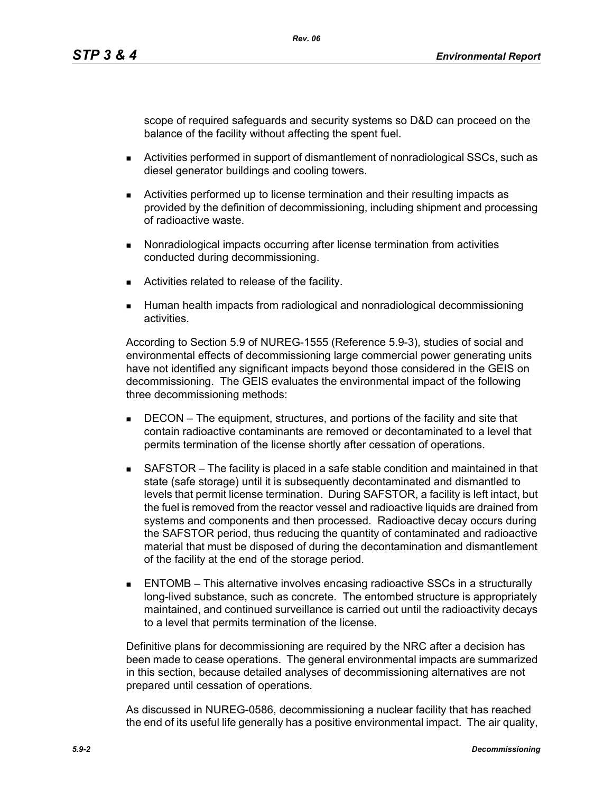scope of required safeguards and security systems so D&D can proceed on the balance of the facility without affecting the spent fuel.

- Activities performed in support of dismantlement of nonradiological SSCs, such as diesel generator buildings and cooling towers.
- Activities performed up to license termination and their resulting impacts as provided by the definition of decommissioning, including shipment and processing of radioactive waste.
- **Nonradiological impacts occurring after license termination from activities** conducted during decommissioning.
- **EXEC** Activities related to release of the facility.
- Human health impacts from radiological and nonradiological decommissioning activities.

According to Section 5.9 of NUREG-1555 (Reference 5.9-3), studies of social and environmental effects of decommissioning large commercial power generating units have not identified any significant impacts beyond those considered in the GEIS on decommissioning. The GEIS evaluates the environmental impact of the following three decommissioning methods:

- **DECON** The equipment, structures, and portions of the facility and site that contain radioactive contaminants are removed or decontaminated to a level that permits termination of the license shortly after cessation of operations.
- SAFSTOR The facility is placed in a safe stable condition and maintained in that state (safe storage) until it is subsequently decontaminated and dismantled to levels that permit license termination. During SAFSTOR, a facility is left intact, but the fuel is removed from the reactor vessel and radioactive liquids are drained from systems and components and then processed. Radioactive decay occurs during the SAFSTOR period, thus reducing the quantity of contaminated and radioactive material that must be disposed of during the decontamination and dismantlement of the facility at the end of the storage period.
- ENTOMB This alternative involves encasing radioactive SSCs in a structurally long-lived substance, such as concrete. The entombed structure is appropriately maintained, and continued surveillance is carried out until the radioactivity decays to a level that permits termination of the license.

Definitive plans for decommissioning are required by the NRC after a decision has been made to cease operations. The general environmental impacts are summarized in this section, because detailed analyses of decommissioning alternatives are not prepared until cessation of operations.

As discussed in NUREG-0586, decommissioning a nuclear facility that has reached the end of its useful life generally has a positive environmental impact. The air quality,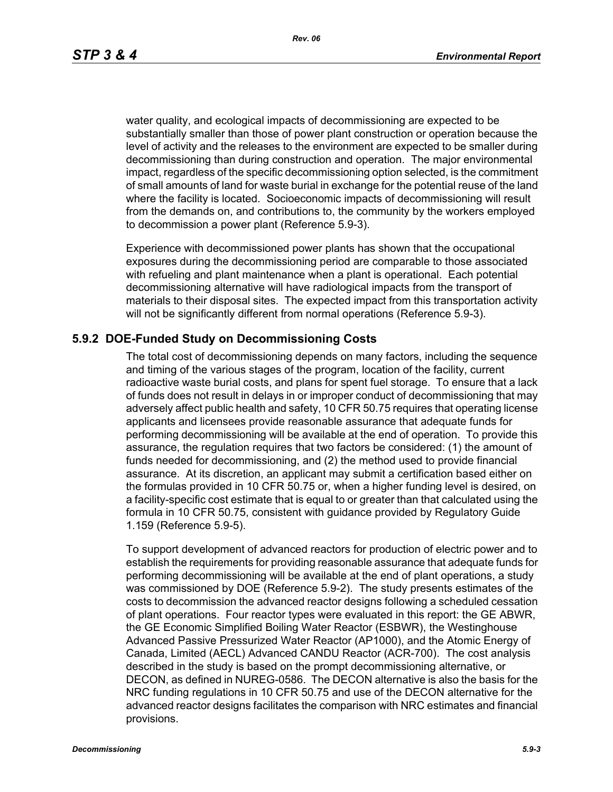*Rev. 06*

water quality, and ecological impacts of decommissioning are expected to be substantially smaller than those of power plant construction or operation because the level of activity and the releases to the environment are expected to be smaller during decommissioning than during construction and operation. The major environmental impact, regardless of the specific decommissioning option selected, is the commitment of small amounts of land for waste burial in exchange for the potential reuse of the land where the facility is located. Socioeconomic impacts of decommissioning will result from the demands on, and contributions to, the community by the workers employed to decommission a power plant (Reference 5.9-3).

Experience with decommissioned power plants has shown that the occupational exposures during the decommissioning period are comparable to those associated with refueling and plant maintenance when a plant is operational. Each potential decommissioning alternative will have radiological impacts from the transport of materials to their disposal sites. The expected impact from this transportation activity will not be significantly different from normal operations (Reference 5.9-3).

## **5.9.2 DOE-Funded Study on Decommissioning Costs**

The total cost of decommissioning depends on many factors, including the sequence and timing of the various stages of the program, location of the facility, current radioactive waste burial costs, and plans for spent fuel storage. To ensure that a lack of funds does not result in delays in or improper conduct of decommissioning that may adversely affect public health and safety, 10 CFR 50.75 requires that operating license applicants and licensees provide reasonable assurance that adequate funds for performing decommissioning will be available at the end of operation. To provide this assurance, the regulation requires that two factors be considered: (1) the amount of funds needed for decommissioning, and (2) the method used to provide financial assurance. At its discretion, an applicant may submit a certification based either on the formulas provided in 10 CFR 50.75 or, when a higher funding level is desired, on a facility-specific cost estimate that is equal to or greater than that calculated using the formula in 10 CFR 50.75, consistent with guidance provided by Regulatory Guide 1.159 (Reference 5.9-5).

To support development of advanced reactors for production of electric power and to establish the requirements for providing reasonable assurance that adequate funds for performing decommissioning will be available at the end of plant operations, a study was commissioned by DOE (Reference 5.9-2). The study presents estimates of the costs to decommission the advanced reactor designs following a scheduled cessation of plant operations. Four reactor types were evaluated in this report: the GE ABWR, the GE Economic Simplified Boiling Water Reactor (ESBWR), the Westinghouse Advanced Passive Pressurized Water Reactor (AP1000), and the Atomic Energy of Canada, Limited (AECL) Advanced CANDU Reactor (ACR-700). The cost analysis described in the study is based on the prompt decommissioning alternative, or DECON, as defined in NUREG-0586. The DECON alternative is also the basis for the NRC funding regulations in 10 CFR 50.75 and use of the DECON alternative for the advanced reactor designs facilitates the comparison with NRC estimates and financial provisions.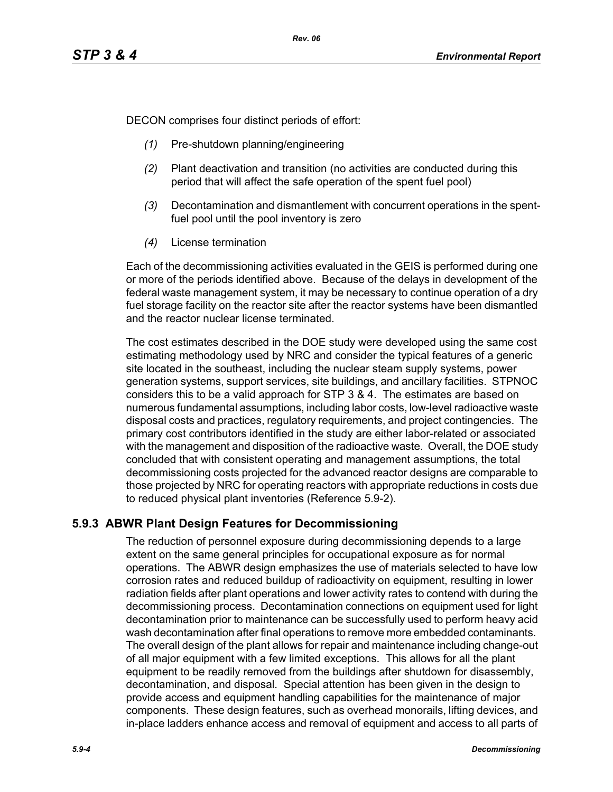DECON comprises four distinct periods of effort:

- *(1)* Pre-shutdown planning/engineering
- *(2)* Plant deactivation and transition (no activities are conducted during this period that will affect the safe operation of the spent fuel pool)
- *(3)* Decontamination and dismantlement with concurrent operations in the spentfuel pool until the pool inventory is zero
- *(4)* License termination

Each of the decommissioning activities evaluated in the GEIS is performed during one or more of the periods identified above. Because of the delays in development of the federal waste management system, it may be necessary to continue operation of a dry fuel storage facility on the reactor site after the reactor systems have been dismantled and the reactor nuclear license terminated.

The cost estimates described in the DOE study were developed using the same cost estimating methodology used by NRC and consider the typical features of a generic site located in the southeast, including the nuclear steam supply systems, power generation systems, support services, site buildings, and ancillary facilities. STPNOC considers this to be a valid approach for STP 3 & 4. The estimates are based on numerous fundamental assumptions, including labor costs, low-level radioactive waste disposal costs and practices, regulatory requirements, and project contingencies. The primary cost contributors identified in the study are either labor-related or associated with the management and disposition of the radioactive waste. Overall, the DOE study concluded that with consistent operating and management assumptions, the total decommissioning costs projected for the advanced reactor designs are comparable to those projected by NRC for operating reactors with appropriate reductions in costs due to reduced physical plant inventories (Reference 5.9-2).

# **5.9.3 ABWR Plant Design Features for Decommissioning**

The reduction of personnel exposure during decommissioning depends to a large extent on the same general principles for occupational exposure as for normal operations. The ABWR design emphasizes the use of materials selected to have low corrosion rates and reduced buildup of radioactivity on equipment, resulting in lower radiation fields after plant operations and lower activity rates to contend with during the decommissioning process. Decontamination connections on equipment used for light decontamination prior to maintenance can be successfully used to perform heavy acid wash decontamination after final operations to remove more embedded contaminants. The overall design of the plant allows for repair and maintenance including change-out of all major equipment with a few limited exceptions. This allows for all the plant equipment to be readily removed from the buildings after shutdown for disassembly, decontamination, and disposal. Special attention has been given in the design to provide access and equipment handling capabilities for the maintenance of major components. These design features, such as overhead monorails, lifting devices, and in-place ladders enhance access and removal of equipment and access to all parts of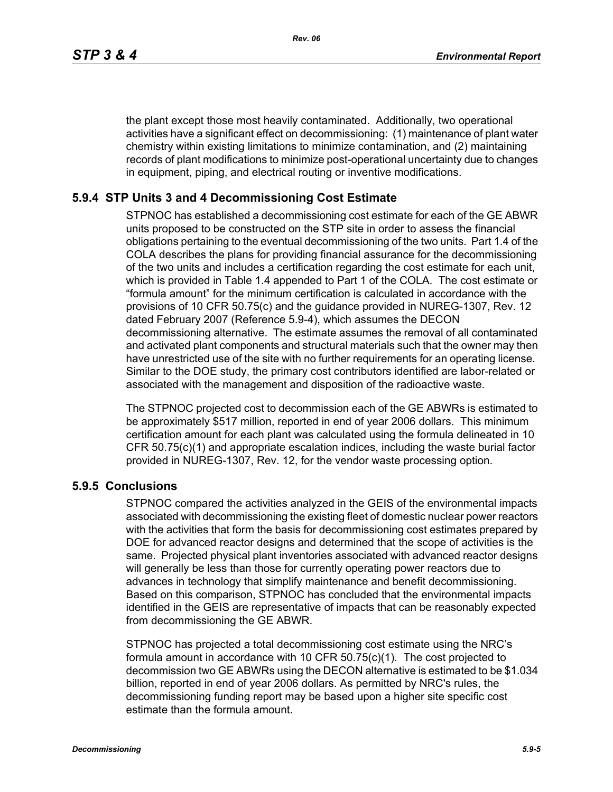the plant except those most heavily contaminated. Additionally, two operational activities have a significant effect on decommissioning: (1) maintenance of plant water chemistry within existing limitations to minimize contamination, and (2) maintaining records of plant modifications to minimize post-operational uncertainty due to changes in equipment, piping, and electrical routing or inventive modifications.

## **5.9.4 STP Units 3 and 4 Decommissioning Cost Estimate**

STPNOC has established a decommissioning cost estimate for each of the GE ABWR units proposed to be constructed on the STP site in order to assess the financial obligations pertaining to the eventual decommissioning of the two units. Part 1.4 of the COLA describes the plans for providing financial assurance for the decommissioning of the two units and includes a certification regarding the cost estimate for each unit, which is provided in Table 1.4 appended to Part 1 of the COLA. The cost estimate or "formula amount" for the minimum certification is calculated in accordance with the provisions of 10 CFR 50.75(c) and the guidance provided in NUREG-1307, Rev. 12 dated February 2007 (Reference 5.9-4), which assumes the DECON decommissioning alternative. The estimate assumes the removal of all contaminated and activated plant components and structural materials such that the owner may then have unrestricted use of the site with no further requirements for an operating license. Similar to the DOE study, the primary cost contributors identified are labor-related or associated with the management and disposition of the radioactive waste.

The STPNOC projected cost to decommission each of the GE ABWRs is estimated to be approximately \$517 million, reported in end of year 2006 dollars. This minimum certification amount for each plant was calculated using the formula delineated in 10 CFR 50.75(c)(1) and appropriate escalation indices, including the waste burial factor provided in NUREG-1307, Rev. 12, for the vendor waste processing option.

#### **5.9.5 Conclusions**

STPNOC compared the activities analyzed in the GEIS of the environmental impacts associated with decommissioning the existing fleet of domestic nuclear power reactors with the activities that form the basis for decommissioning cost estimates prepared by DOE for advanced reactor designs and determined that the scope of activities is the same. Projected physical plant inventories associated with advanced reactor designs will generally be less than those for currently operating power reactors due to advances in technology that simplify maintenance and benefit decommissioning. Based on this comparison, STPNOC has concluded that the environmental impacts identified in the GEIS are representative of impacts that can be reasonably expected from decommissioning the GE ABWR.

STPNOC has projected a total decommissioning cost estimate using the NRC's formula amount in accordance with 10 CFR 50.75(c)(1). The cost projected to decommission two GE ABWRs using the DECON alternative is estimated to be \$1.034 billion, reported in end of year 2006 dollars. As permitted by NRC's rules, the decommissioning funding report may be based upon a higher site specific cost estimate than the formula amount.